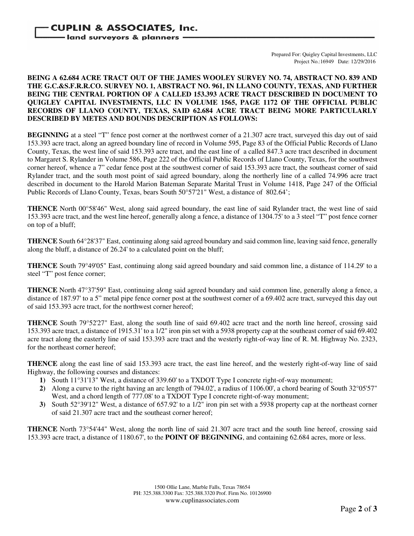## Prepared For: Quigley Capital Investments, LLC Project No.:16949 Date: 12/29/2016

## **BEING A 62.684 ACRE TRACT OUT OF THE JAMES WOOLEY SURVEY NO. 74, ABSTRACT NO. 839 AND THE G.C.&S.F.R.R.CO. SURVEY NO. 1, ABSTRACT NO. 961, IN LLANO COUNTY, TEXAS, AND FURTHER BEING THE CENTRAL PORTION OF A CALLED 153.393 ACRE TRACT DESCRIBED IN DOCUMENT TO QUIGLEY CAPITAL INVESTMENTS, LLC IN VOLUME 1565, PAGE 1172 OF THE OFFICIAL PUBLIC RECORDS OF LLANO COUNTY, TEXAS, SAID 62.684 ACRE TRACT BEING MORE PARTICULARLY DESCRIBED BY METES AND BOUNDS DESCRIPTION AS FOLLOWS:**

**BEGINNING** at a steel "T" fence post corner at the northwest corner of a 21.307 acre tract, surveyed this day out of said 153.393 acre tract, along an agreed boundary line of record in Volume 595, Page 83 of the Official Public Records of Llano County, Texas, the west line of said 153.393 acre tract, and the east line of a called 847.3 acre tract described in document to Margaret S. Rylander in Volume 586, Page 222 of the Official Public Records of Llano County, Texas, for the southwest corner hereof, whence a 7" cedar fence post at the southwest corner of said 153.393 acre tract, the southeast corner of said Rylander tract, and the south most point of said agreed boundary, along the northerly line of a called 74.996 acre tract described in document to the Harold Marion Bateman Separate Marital Trust in Volume 1418, Page 247 of the Official Public Records of Llano County, Texas, bears South 50°57'21" West, a distance of 802.64';

**THENCE** North 00°58'46" West, along said agreed boundary, the east line of said Rylander tract, the west line of said 153.393 acre tract, and the west line hereof, generally along a fence, a distance of 1304.75' to a 3 steel "T" post fence corner on top of a bluff;

**THENCE** South 64°28'37" East, continuing along said agreed boundary and said common line, leaving said fence, generally along the bluff, a distance of 26.24' to a calculated point on the bluff;

**THENCE** South 79°49'05" East, continuing along said agreed boundary and said common line, a distance of 114.29' to a steel "T" post fence corner;

**THENCE** North 47°37'59" East, continuing along said agreed boundary and said common line, generally along a fence, a distance of 187.97' to a 5" metal pipe fence corner post at the southwest corner of a 69.402 acre tract, surveyed this day out of said 153.393 acre tract, for the northwest corner hereof;

**THENCE** South 79°52'27" East, along the south line of said 69.402 acre tract and the north line hereof, crossing said 153.393 acre tract, a distance of 1915.31' to a 1/2" iron pin set with a 5938 property cap at the southeast corner of said 69.402 acre tract along the easterly line of said 153.393 acre tract and the westerly right-of-way line of R. M. Highway No. 2323, for the northeast corner hereof;

**THENCE** along the east line of said 153.393 acre tract, the east line hereof, and the westerly right-of-way line of said Highway, the following courses and distances:

- **1)** South 11°31'13" West, a distance of 339.60' to a TXDOT Type I concrete right-of-way monument;
- **2)** Along a curve to the right having an arc length of 794.02', a radius of 1106.00', a chord bearing of South 32°05'57" West, and a chord length of 777.08' to a TXDOT Type I concrete right-of-way monument;
- **3)** South 52°39'12" West, a distance of 657.92' to a 1/2" iron pin set with a 5938 property cap at the northeast corner of said 21.307 acre tract and the southeast corner hereof;

**THENCE** North 73°54'44" West, along the north line of said 21.307 acre tract and the south line hereof, crossing said 153.393 acre tract, a distance of 1180.67', to the **POINT OF BEGINNING**, and containing 62.684 acres, more or less.